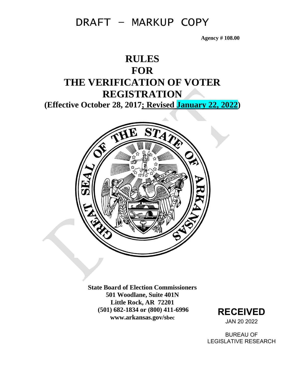**Agency # 108.00**

### **RULES FOR THE VERIFICATION OF VOTER REGISTRATION (Effective October 28, 2017; Revised January 22, 2022)**



**State Board of Election Commissioners 501 Woodlane, Suite 401N Little Rock, AR 72201 (501) 682-1834 or (800) 411-6996 www.arkansas.gov/sbec**



BUREAU OF LEGISLATIVE RESEARCH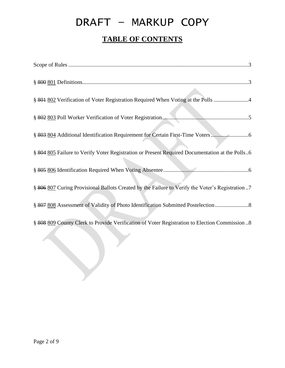# DRAFT – MARKUP COPY **TABLE OF CONTENTS**

| § 801 802 Verification of Voter Registration Required When Voting at the Polls 4                 |
|--------------------------------------------------------------------------------------------------|
|                                                                                                  |
| § 803 804 Additional Identification Requirement for Certain First-Time Voters                    |
| § 804 805 Failure to Verify Voter Registration or Present Required Documentation at the Polls6   |
|                                                                                                  |
| § 806 807 Curing Provisional Ballots Created by the Failure to Verify the Voter's Registration 7 |
|                                                                                                  |
| § 808 809 County Clerk to Provide Verification of Voter Registration to Election Commission 8    |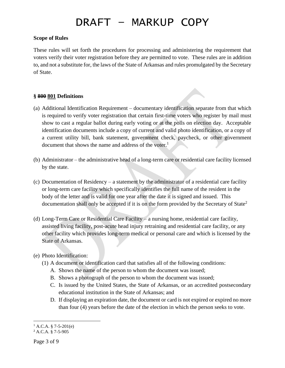#### **Scope of Rules**

These rules will set forth the procedures for processing and administering the requirement that voters verify their voter registration before they are permitted to vote. These rules are in addition to, and not a substitute for, the laws of the State of Arkansas and rules promulgated by the Secretary of State.

#### **§ 800 801 Definitions**

- (a) Additional Identification Requirement documentary identification separate from that which is required to verify voter registration that certain first-time voters who register by mail must show to cast a regular ballot during early voting or at the polls on election day. Acceptable identification documents include a copy of current and valid photo identification, or a copy of a current utility bill, bank statement, government check, paycheck, or other government document that shows the name and address of the voter.<sup>1</sup>
- (b) Administrator the administrative head of a long-term care or residential care facility licensed by the state.
- (c) Documentation of Residency a statement by the administrator of a residential care facility or long-term care facility which specifically identifies the full name of the resident in the body of the letter and is valid for one year after the date it is signed and issued. This documentation shall only be accepted if it is on the form provided by the Secretary of State<sup>2</sup>
- (d) Long-Term Care or Residential Care Facility a nursing home, residential care facility, assisted living facility, post-acute head injury retraining and residential care facility, or any other facility which provides long-term medical or personal care and which is licensed by the State of Arkansas.
- (e) Photo Identification:
	- (1) A document or identification card that satisfies all of the following conditions:
		- A. Shows the name of the person to whom the document was issued;
		- B. Shows a photograph of the person to whom the document was issued;
		- C. Is issued by the United States, the State of Arkansas, or an accredited postsecondary educational institution in the State of Arkansas; and
		- D. If displaying an expiration date, the document or card is not expired or expired no more than four (4) years before the date of the election in which the person seeks to vote.

 $1$  A.C.A. § 7-5-201(e)

<sup>2</sup> A.C.A. § 7-5-905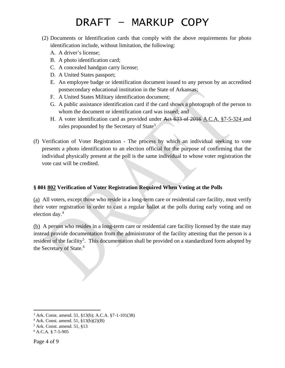- (2) Documents or Identification cards that comply with the above requirements for photo identification include, without limitation, the following:
	- A. A driver's license;
	- B. A photo identification card;
	- C. A concealed handgun carry license;
	- D. A United States passport;
	- E. An employee badge or identification document issued to any person by an accredited postsecondary educational institution in the State of Arkansas;
	- F. A United States Military identification document;
	- G. A public assistance identification card if the card shows a photograph of the person to whom the document or identification card was issued; and
	- H. A voter identification card as provided under Act 633 of 2016 A.C.A. §7-5-324 and rules propounded by the Secretary of State<sup>3</sup>
- (f) Verification of Voter Registration The process by which an individual seeking to vote presents a photo identification to an election official for the purpose of confirming that the individual physically present at the poll is the same individual to whose voter registration the vote cast will be credited.

### **§ 801 802 Verification of Voter Registration Required When Voting at the Polls**

(a) All voters, except those who reside in a long-term care or residential care facility, must verify their voter registration in order to cast a regular ballot at the polls during early voting and on election day.<sup>4</sup>

(b) A person who resides in a long-term care or residential care facility licensed by the state may instead provide documentation from the administrator of the facility attesting that the person is a resident of the facility<sup>5</sup>. This documentation shall be provided on a standardized form adopted by the Secretary of State.<sup>6</sup>

<sup>3</sup> Ark. Const. amend. 51, §13(b); A.C.A. §7-1-101(38)

 $4$  Ark. Const. amend. 51,  $\S 13(b)(2)(B)$ 

<sup>5</sup> Ark. Const. amend. 51, §13

<sup>6</sup> A.C.A. § 7-5-905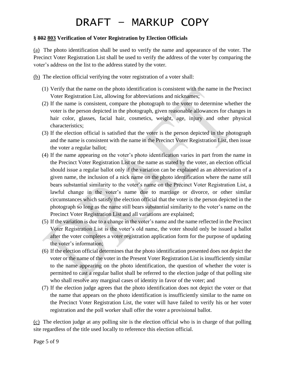#### **§ 802 803 Verification of Voter Registration by Election Officials**

(a) The photo identification shall be used to verify the name and appearance of the voter. The Precinct Voter Registration List shall be used to verify the address of the voter by comparing the voter's address on the list to the address stated by the voter.

(b) The election official verifying the voter registration of a voter shall:

- (1) Verify that the name on the photo identification is consistent with the name in the Precinct Voter Registration List, allowing for abbreviations and nicknames;
- (2) If the name is consistent, compare the photograph to the voter to determine whether the voter is the person depicted in the photograph, given reasonable allowances for changes in hair color, glasses, facial hair, cosmetics, weight, age, injury and other physical characteristics;
- (3) If the election official is satisfied that the voter is the person depicted in the photograph and the name is consistent with the name in the Precinct Voter Registration List, then issue the voter a regular ballot;
- (4) If the name appearing on the voter's photo identification varies in part from the name in the Precinct Voter Registration List or the name as stated by the voter, an election official should issue a regular ballot only if the variation can be explained as an abbreviation of a given name, the inclusion of a nick name on the photo identification where the name still bears substantial similarity to the voter's name on the Precinct Voter Registration List, a lawful change in the voter's name due to marriage or divorce, or other similar circumstances which satisfy the election official that the voter is the person depicted in the photograph so long as the name still bears substantial similarity to the voter's name on the Precinct Voter Registration List and all variations are explained;
- (5) If the variation is due to a change in the voter's name and the name reflected in the Precinct Voter Registration List is the voter's old name, the voter should only be issued a ballot after the voter completes a voter registration application form for the purpose of updating the voter's information;
- (6) If the election official determines that the photo identification presented does not depict the voter or the name of the voter in the Present Voter Registration List is insufficiently similar to the name appearing on the photo identification, the question of whether the voter is permitted to cast a regular ballot shall be referred to the election judge of that polling site who shall resolve any marginal cases of identity in favor of the voter; and
- (7) If the election judge agrees that the photo identification does not depict the voter or that the name that appears on the photo identification is insufficiently similar to the name on the Precinct Voter Registration List, the voter will have failed to verify his or her voter registration and the poll worker shall offer the voter a provisional ballot.

(c) The election judge at any polling site is the election official who is in charge of that polling site regardless of the title used locally to reference this election official.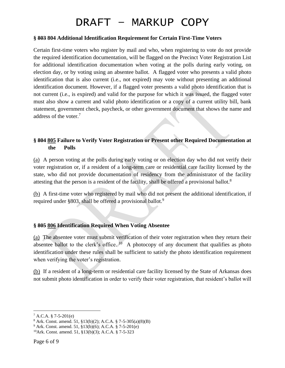#### **§ 803 804 Additional Identification Requirement for Certain First-Time Voters**

Certain first-time voters who register by mail and who, when registering to vote do not provide the required identification documentation, will be flagged on the Precinct Voter Registration List for additional identification documentation when voting at the polls during early voting, on election day, or by voting using an absentee ballot. A flagged voter who presents a valid photo identification that is also current (i.e., not expired) may vote without presenting an additional identification document. However, if a flagged voter presents a valid photo identification that is not current (i.e., is expired) and valid for the purpose for which it was issued, the flagged voter must also show a current and valid photo identification or a copy of a current utility bill, bank statement, government check, paycheck, or other government document that shows the name and address of the voter.<sup>7</sup>

### **§ 804 805 Failure to Verify Voter Registration or Present other Required Documentation at the Polls**

(a) A person voting at the polls during early voting or on election day who did not verify their voter registration or, if a resident of a long-term care or residential care facility licensed by the state, who did not provide documentation of residency from the administrator of the facility attesting that the person is a resident of the facility, shall be offered a provisional ballot.<sup>8</sup>

(b) A first-time voter who registered by mail who did not present the additional identification, if required under §803, shall be offered a provisional ballot.<sup>9</sup>

#### **§ 805 806 Identification Required When Voting Absentee**

(a) The absentee voter must submit verification of their voter registration when they return their absentee ballot to the clerk's office.<sup>10</sup> A photocopy of any document that qualifies as photo identification under these rules shall be sufficient to satisfy the photo identification requirement when verifying the voter's registration.

(b) If a resident of a long-term or residential care facility licensed by the State of Arkansas does not submit photo identification in order to verify their voter registration, that resident's ballot will

 $7 A.C.A. § 7-5-201(e)$ 

<sup>8</sup> Ark. Const. amend. 51, §13(b)(2); A.C.A. § 7-5-305(a)(8)(B)

 $9$  Ark. Const. amend. 51, §13(b)(6); A.C.A. § 7-5-201(e)

<sup>10</sup>Ark. Const. amend. 51, §13(b)(3); A.C.A. § 7-5-323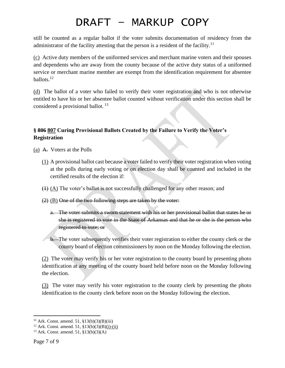still be counted as a regular ballot if the voter submits documentation of residency from the administrator of the facility attesting that the person is a resident of the facility.<sup>11</sup>

(c) Active duty members of the uniformed services and merchant marine voters and their spouses and dependents who are away from the county because of the active duty status of a uniformed service or merchant marine member are exempt from the identification requirement for absentee ballots. $^{12}$ 

(d) The ballot of a voter who failed to verify their voter registration and who is not otherwise entitled to have his or her absentee ballot counted without verification under this section shall be considered a provisional ballot.<sup>13</sup>

### **§ 806 807 Curing Provisional Ballots Created by the Failure to Verify the Voter's Registration**

(a) A. Voters at the Polls

- (1) A provisional ballot cast because a voter failed to verify their voter registration when voting at the polls during early voting or on election day shall be counted and included in the certified results of the election if:
- $(1)$   $(A)$  The voter's ballot is not successfully challenged for any other reason; and
- (2) (B) One of the two following steps are taken by the voter:
	- a. The voter submits a sworn statement with his or her provisional ballot that states he or she is registered to vote in the State of Arkansas and that he or she is the person who registered to vote; or
	- b. The voter subsequently verifies their voter registration to either the county clerk or the county board of election commissioners by noon on the Monday following the election.

(2) The voter may verify his or her voter registration to the county board by presenting photo identification at any meeting of the county board held before noon on the Monday following the election.

(3) The voter may verify his voter registration to the county clerk by presenting the photo identification to the county clerk before noon on the Monday following the election.

<sup>&</sup>lt;sup>11</sup> Ark. Const. amend. 51,  $$13(b)(3)(B)(iii)$ 

 $12$  Ark. Const. amend. 51, §13(b)(3)(B)(i)-(ii)

<sup>13</sup> Ark. Const. amend. 51, §13(b)(3)(A)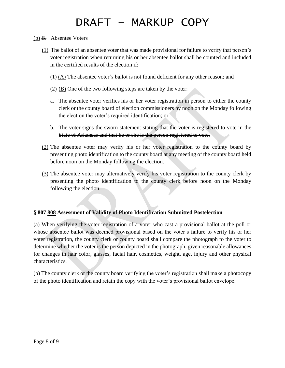- (b) B. Absentee Voters
	- (1) The ballot of an absentee voter that was made provisional for failure to verify that person's voter registration when returning his or her absentee ballot shall be counted and included in the certified results of the election if:
		- $(1)$  (A) The absentee voter's ballot is not found deficient for any other reason; and
		- $(2)$  (B) One of the two following steps are taken by the voter:
		- a. The absentee voter verifies his or her voter registration in person to either the county clerk or the county board of election commissioners by noon on the Monday following the election the voter's required identification; or
		- b. The voter signs the sworn statement stating that the voter is registered to vote in the State of Arkansas and that he or she is the person registered to vote.
	- (2) The absentee voter may verify his or her voter registration to the county board by presenting photo identification to the county board at any meeting of the county board held before noon on the Monday following the election.
	- (3) The absentee voter may alternatively verify his voter registration to the county clerk by presenting the photo identification to the county clerk before noon on the Monday following the election.

#### **§ 807 808 Assessment of Validity of Photo Identification Submitted Postelection**

(a) When verifying the voter registration of a voter who cast a provisional ballot at the poll or whose absentee ballot was deemed provisional based on the voter's failure to verify his or her voter registration, the county clerk or county board shall compare the photograph to the voter to determine whether the voter is the person depicted in the photograph, given reasonable allowances for changes in hair color, glasses, facial hair, cosmetics, weight, age, injury and other physical characteristics.

(b) The county clerk or the county board verifying the voter's registration shall make a photocopy of the photo identification and retain the copy with the voter's provisional ballot envelope.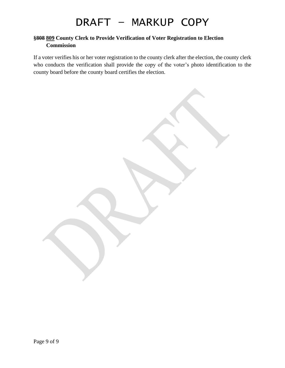#### **§808 809 County Clerk to Provide Verification of Voter Registration to Election Commission**

If a voter verifies his or her voter registration to the county clerk after the election, the county clerk who conducts the verification shall provide the copy of the voter's photo identification to the county board before the county board certifies the election.

Page 9 of 9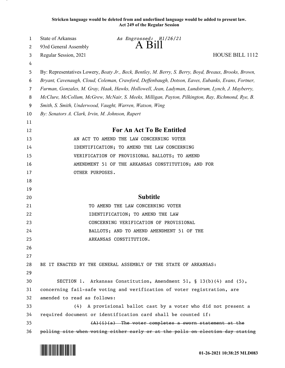**Stricken language would be deleted from and underlined language would be added to present law. Act 249 of the Regular Session**

| 1      | State of Arkansas                                                                                      | As Engrossed: H1/26/21<br>. B111                                              |  |
|--------|--------------------------------------------------------------------------------------------------------|-------------------------------------------------------------------------------|--|
| 2      | 93rd General Assembly                                                                                  |                                                                               |  |
| 3      | Regular Session, 2021                                                                                  | <b>HOUSE BILL 1112</b>                                                        |  |
| 4      |                                                                                                        |                                                                               |  |
| 5      | By: Representatives Lowery, Beaty Jr., Beck, Bentley, M. Berry, S. Berry, Boyd, Breaux, Brooks, Brown, |                                                                               |  |
| 6      | Bryant, Cavenaugh, Cloud, Coleman, Crawford, Deffenbaugh, Dotson, Eaves, Eubanks, Evans, Fortner,      |                                                                               |  |
| 7      | Furman, Gonzales, M. Gray, Haak, Hawks, Hollowell, Jean, Ladyman, Lundstrum, Lynch, J. Mayberry,       |                                                                               |  |
| 8<br>9 | McClure, McCollum, McGrew, McNair, S. Meeks, Milligan, Payton, Pilkington, Ray, Richmond, Rye, B.      |                                                                               |  |
| 10     | Smith, S. Smith, Underwood, Vaught, Warren, Watson, Wing                                               |                                                                               |  |
| 11     | By: Senators A. Clark, Irvin, M. Johnson, Rapert                                                       |                                                                               |  |
| 12     |                                                                                                        | For An Act To Be Entitled                                                     |  |
| 13     |                                                                                                        | AN ACT TO AMEND THE LAW CONCERNING VOTER                                      |  |
| 14     |                                                                                                        | IDENTIFICATION; TO AMEND THE LAW CONCERNING                                   |  |
| 15     |                                                                                                        | VERIFICATION OF PROVISIONAL BALLOTS; TO AMEND                                 |  |
| 16     |                                                                                                        | AMENDMENT 51 OF THE ARKANSAS CONSTITUTION; AND FOR                            |  |
| 17     | OTHER PURPOSES.                                                                                        |                                                                               |  |
| 18     |                                                                                                        |                                                                               |  |
| 19     |                                                                                                        |                                                                               |  |
| 20     |                                                                                                        | <b>Subtitle</b>                                                               |  |
| 21     |                                                                                                        | TO AMEND THE LAW CONCERNING VOTER                                             |  |
| 22     |                                                                                                        | IDENTIFICATION; TO AMEND THE LAW                                              |  |
| 23     |                                                                                                        | CONCERNING VERIFICATION OF PROVISIONAL                                        |  |
| 24     |                                                                                                        | BALLOTS; AND TO AMEND AMENDMENT 51 OF THE                                     |  |
| 25     |                                                                                                        | ARKANSAS CONSTITUTION.                                                        |  |
| 26     |                                                                                                        |                                                                               |  |
| 27     |                                                                                                        |                                                                               |  |
| 28     |                                                                                                        | BE IT ENACTED BY THE GENERAL ASSEMBLY OF THE STATE OF ARKANSAS:               |  |
| 29     |                                                                                                        |                                                                               |  |
| 30     |                                                                                                        | SECTION 1. Arkansas Constitution, Amendment 51, § 13(b)(4) and $(5)$ ,        |  |
| 31     |                                                                                                        | concerning fail-safe voting and verification of voter registration, are       |  |
| 32     | amended to read as follows:                                                                            |                                                                               |  |
| 33     | (4)                                                                                                    | A provisional ballot cast by a voter who did not present a                    |  |
| 34     |                                                                                                        | required document or identification card shall be counted if:                 |  |
| 35     |                                                                                                        | $(A)(i)(a)$ The voter completes a sworn statement at the                      |  |
| 36     |                                                                                                        | polling site when voting either early or at the polls on election day stating |  |

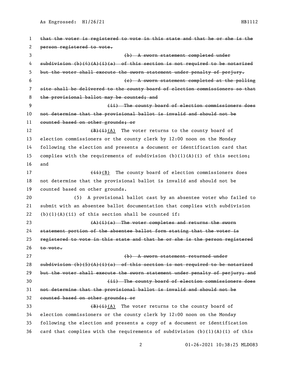As Engrossed:  $H1/26/21$  HB1112

 that the voter is registered to vote in this state and that he or she is the person registered to vote. (b) A sworn statement completed under 4 subdivision  $(b)$   $(4)$   $(4)$   $(1)$   $(a)$  of this section is not required to be notarized but the voter shall execute the sworn statement under penalty of perjury. (c) A sworn statement completed at the polling site shall be delivered to the county board of election commissioners so that 8 the provisional ballot may be counted; and 9 The county board of election commissioners does not determine that the provisional ballot is invalid and should not be counted based on other grounds; or  $\overline{(B)(i)}(A)$  The voter returns to the county board of election commissioners or the county clerk by 12:00 noon on the Monday following the election and presents a document or identification card that 15 complies with the requirements of subdivision  $(b)(1)(A)(i)$  of this section; and 17 (ii)(B) The county board of election commissioners does not determine that the provisional ballot is invalid and should not be counted based on other grounds. (5) A provisional ballot cast by an absentee voter who failed to submit with an absentee ballot documentation that complies with subdivision 22 (b)(1)(A)(ii) of this section shall be counted if: 23 (A)(i)(a) The voter completes and returns the sworn statement portion of the absentee ballot form stating that the voter is registered to vote in this state and that he or she is the person registered to vote. (b) A sworn statement returned under 28 subdivision (b)(5)(A)(i)(a) of this section is not required to be notarized 29 but the voter shall execute the sworn statement under penalty of perjury; and (ii) The county board of election commissioners does not determine that the provisional ballot is invalid and should not be counted based on other grounds; or  $(B)$ (i)(A) The voter returns to the county board of election commissioners or the county clerk by 12:00 noon on the Monday following the election and presents a copy of a document or identification 36 card that complies with the requirements of subdivision  $(b)(1)(A)(i)$  of this

01-26-2021 10:38:25 MLD083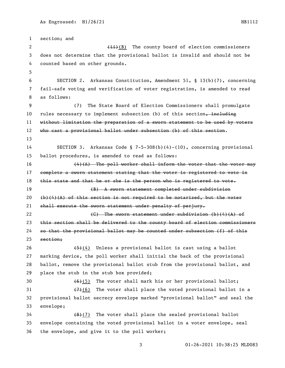section; and 2 (ii)(B) The county board of election commissioners does not determine that the provisional ballot is invalid and should not be counted based on other grounds. SECTION 2. Arkansas Constitution, Amendment 51, § 13(b)(7), concerning fail-safe voting and verification of voter registration, is amended to read as follows: (7) The State Board of Election Commissioners shall promulgate 10 rules necessary to implement subsection (b) of this section, including without limitation the preparation of a sworn statement to be used by voters who cast a provisional ballot under subsection (b) of this section. SECTION 3. Arkansas Code § 7-5-308(b)(4)-(10), concerning provisional ballot procedures, is amended to read as follows:  $(4)(A)$  The poll worker shall inform the voter that the voter may complete a sworn statement stating that the voter is registered to vote in 18 this state and that he or she is the person who is registered to vote. (B) A sworn statement completed under subdivision  $(\frac{1}{2})$  (4)(4) of this section is not required to be notarized, but the voter shall execute the sworn statement under penalty of perjury. 22 (G) The sworn statement under subdivision (b)(4)(A) of 23 this section shall be delivered to the county board of election commissioners 24 so that the provisional ballot may be counted under subsection  $(f)$  of this section;  $(4)$  Unless a provisional ballot is cast using a ballot marking device, the poll worker shall initial the back of the provisional ballot, remove the provisional ballot stub from the provisional ballot, and place the stub in the stub box provided;  $(6)(5)$  The voter shall mark his or her provisional ballot;  $(7)(6)$  The voter shall place the voted provisional ballot in a provisional ballot secrecy envelope marked "provisional ballot" and seal the envelope;  $(8)(7)$  The voter shall place the sealed provisional ballot envelope containing the voted provisional ballot in a voter envelope, seal the envelope, and give it to the poll worker;

01-26-2021 10:38:25 MLD083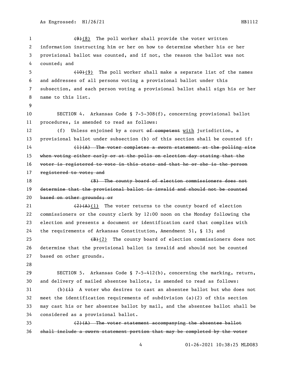$(9)(8)$  The poll worker shall provide the voter written information instructing him or her on how to determine whether his or her provisional ballot was counted, and if not, the reason the ballot was not counted; and (10)(9) The poll worker shall make a separate list of the names and addresses of all persons voting a provisional ballot under this subsection, and each person voting a provisional ballot shall sign his or her name to this list. SECTION 4. Arkansas Code § 7-5-308(f), concerning provisional ballot procedures, is amended to read as follows: 12 (f) Unless enjoined by a court of competent with jurisdiction, a provisional ballot under subsection (b) of this section shall be counted if: (1)(A) The voter completes a sworn statement at the polling site 15 when voting either early or at the polls on election day stating that the voter is registered to vote in this state and that he or she is the person 17 registered to vote; and (B) The county board of election commissioners does not determine that the provisional ballot is invalid and should not be counted based on other grounds; or  $\left(2\right)(A)(1)$  The voter returns to the county board of election commissioners or the county clerk by 12:00 noon on the Monday following the election and presents a document or identification card that complies with the requirements of Arkansas Constitution, Amendment 51, § 13; and  $(B)+(2)$  The county board of election commissioners does not determine that the provisional ballot is invalid and should not be counted based on other grounds. SECTION 5. Arkansas Code § 7-5-412(b), concerning the marking, return, and delivery of mailed absentee ballots, is amended to read as follows: (b) $\{1\}$  A voter who desires to cast an absentee ballot but who does not meet the identification requirements of subdivision (a)(2) of this section

 may cast his or her absentee ballot by mail, and the absentee ballot shall be considered as a provisional ballot.

 (2)(A) The voter statement accompanying the absentee ballot shall include a sworn statement portion that may be completed by the voter